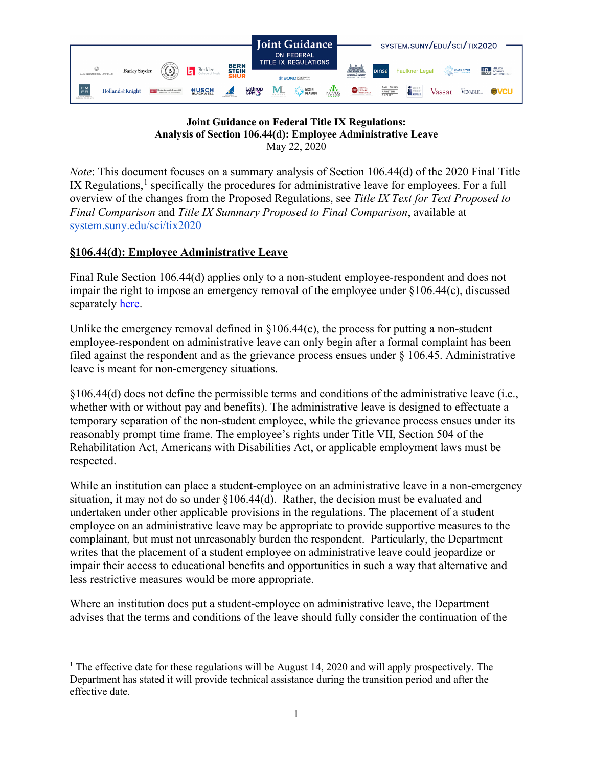

## **Joint Guidance on Federal Title IX Regulations: Analysis of Section 106.44(d): Employee Administrative Leave**  May 22, 2020

*Note*: This document focuses on a summary analysis of Section 106.44(d) of the 2020 Final Title IX Regulations, $<sup>1</sup>$  $<sup>1</sup>$  $<sup>1</sup>$  specifically the procedures for administrative leave for employees. For a full</sup> overview of the changes from the Proposed Regulations, see *Title IX Text for Text Proposed to Final Comparison* and *Title IX Summary Proposed to Final Comparison*, available at [system.suny.edu/sci/tix2020](https://system.suny.edu/sci/tix2020/)

## **§106.44(d): Employee Administrative Leave**

Final Rule Section 106.44(d) applies only to a non-student employee-respondent and does not impair the right to impose an emergency removal of the employee under §106.44(c), discussed separately [here.](https://system.suny.edu/media/suny/content-assets/documents/sci/tix2020/Emergency-Removal.pdf)

Unlike the emergency removal defined in  $\S106.44(c)$ , the process for putting a non-student employee-respondent on administrative leave can only begin after a formal complaint has been filed against the respondent and as the grievance process ensues under § 106.45. Administrative leave is meant for non-emergency situations.

§106.44(d) does not define the permissible terms and conditions of the administrative leave (i.e., whether with or without pay and benefits). The administrative leave is designed to effectuate a temporary separation of the non-student employee, while the grievance process ensues under its reasonably prompt time frame. The employee's rights under Title VII, Section 504 of the Rehabilitation Act, Americans with Disabilities Act, or applicable employment laws must be respected.

While an institution can place a student-employee on an administrative leave in a non-emergency situation, it may not do so under §106.44(d). Rather, the decision must be evaluated and undertaken under other applicable provisions in the regulations. The placement of a student employee on an administrative leave may be appropriate to provide supportive measures to the complainant, but must not unreasonably burden the respondent. Particularly, the Department writes that the placement of a student employee on administrative leave could jeopardize or impair their access to educational benefits and opportunities in such a way that alternative and less restrictive measures would be more appropriate.

Where an institution does put a student-employee on administrative leave, the Department advises that the terms and conditions of the leave should fully consider the continuation of the

<span id="page-0-0"></span><sup>&</sup>lt;sup>1</sup> The effective date for these regulations will be August 14, 2020 and will apply prospectively. The Department has stated it will provide technical assistance during the transition period and after the effective date.